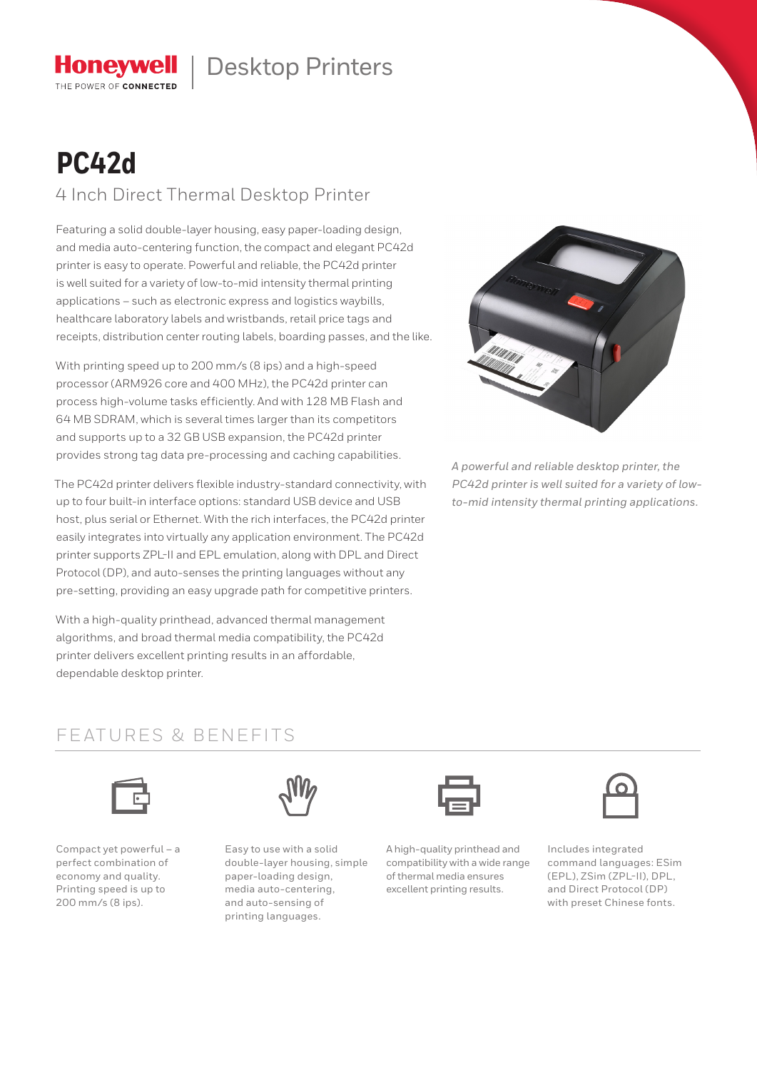# Honeywell | Desktop Printers

# **PC42d**

THE POWER OF CONNECTED

4 Inch Direct Thermal Desktop Printer

Featuring a solid double-layer housing, easy paper-loading design, and media auto-centering function, the compact and elegant PC42d printer is easy to operate. Powerful and reliable, the PC42d printer is well suited for a variety of low-to-mid intensity thermal printing applications – such as electronic express and logistics waybills, healthcare laboratory labels and wristbands, retail price tags and receipts, distribution center routing labels, boarding passes, and the like.

With printing speed up to 200 mm/s (8 ips) and a high-speed processor (ARM926 core and 400 MHz), the PC42d printer can process high-volume tasks efficiently. And with 128 MB Flash and 64 MB SDRAM, which is several times larger than its competitors and supports up to a 32 GB USB expansion, the PC42d printer provides strong tag data pre-processing and caching capabilities.

The PC42d printer delivers flexible industry-standard connectivity, with up to four built-in interface options: standard USB device and USB host, plus serial or Ethernet. With the rich interfaces, the PC42d printer easily integrates into virtually any application environment. The PC42d printer supports ZPL-II and EPL emulation, along with DPL and Direct Protocol (DP), and auto-senses the printing languages without any pre-setting, providing an easy upgrade path for competitive printers.

With a high-quality printhead, advanced thermal management algorithms, and broad thermal media compatibility, the PC42d printer delivers excellent printing results in an affordable, dependable desktop printer.



*A powerful and reliable desktop printer, the PC42d printer is well suited for a variety of lowto-mid intensity thermal printing applications.*

### FEATURES & BENEFITS



Compact yet powerful – a perfect combination of economy and quality. Printing speed is up to 200 mm/s (8 ips).



Easy to use with a solid double-layer housing, simple paper-loading design, media auto-centering, and auto-sensing of printing languages.

A high-quality printhead and compatibility with a wide range of thermal media ensures excellent printing results.



Includes integrated command languages: ESim (EPL), ZSim (ZPL-II), DPL, and Direct Protocol (DP) with preset Chinese fonts.